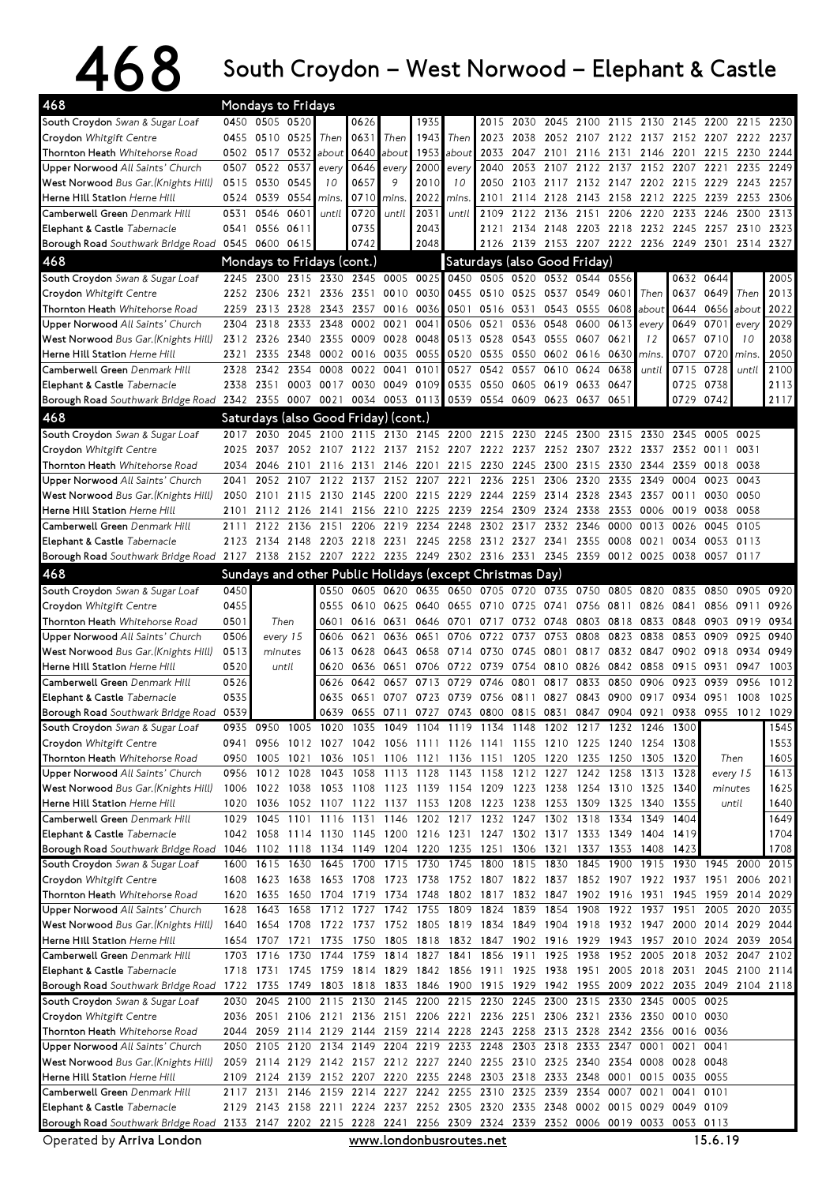## 468 South Croydon – West Norwood – Elephant & Castle

| 468<br>Mondays to Fridays                                                                                |              |                                  |              |                                      |              |                |              |                                                                                                                                 |                                    |              |                                              |                             |                |                               |                   |                             |                |              |
|----------------------------------------------------------------------------------------------------------|--------------|----------------------------------|--------------|--------------------------------------|--------------|----------------|--------------|---------------------------------------------------------------------------------------------------------------------------------|------------------------------------|--------------|----------------------------------------------|-----------------------------|----------------|-------------------------------|-------------------|-----------------------------|----------------|--------------|
| South Croydon Swan & Sugar Loaf                                                                          |              | 0450 0505 0520                   |              |                                      | 0626         |                | 1935         |                                                                                                                                 | 2015                               |              | 2030 2045 2100 2115 2130 2145 2200 2215 2230 |                             |                |                               |                   |                             |                |              |
| Croydon Whitgift Centre                                                                                  | 0455         | 0510 0525                        |              | Then                                 | 0631         | Then           | 1943         | Then                                                                                                                            | 2023                               | 2038         |                                              | 2052 2107                   |                | 2122 2137 2152 2207 2222 2237 |                   |                             |                |              |
| Thornton Heath Whitehorse Road                                                                           |              | 0502 0517                        | 0532         | about                                | 0640         | about          | 1953         | about                                                                                                                           | 2033                               | 2047         | 2101                                         | 2116                        | 2131           | 2146                          | 2201              | 2215                        | 2230           | 2244         |
| Upper Norwood All Saints' Church                                                                         | 0507         | 0522                             | 0537         | every                                | 0646         | every          | 2000         | every                                                                                                                           | 2040                               | 2053         | 2107                                         | 2122                        | 2137           | 2152                          | 2207              | 2221                        | 2235           | 2249         |
| West Norwood Bus Gar. (Knights Hill)                                                                     | 0515         | 0530                             | 0545         | 10                                   | 0657         | 9              | 2010         | 10                                                                                                                              | 2050                               | 2103         | 2117                                         | 2132                        | 2147           | 2202                          | 2215 2229         |                             | 2243           | 2257         |
| Herne Hill Station Herne Hill                                                                            |              | 0524 0539                        | 0554         | mins.                                | 0710         | mins.          | 2022         | mins.                                                                                                                           | 2101                               |              | 2114 2128                                    | 2143                        | 2158           |                               | 2212 2225 2239    |                             | 2253           | 2306         |
| Camberwell Green Denmark Hill                                                                            | 0531         | 0546                             | 0601         | until                                | 0720         | until          | 2031         | until                                                                                                                           | 2109                               | 2122         | 2136                                         | 2151                        | 2206           | 2220                          | 2233              | 2246                        | 2300           | 2313         |
| Elephant & Castle Tabernacle                                                                             | 0541         | 0556                             | 0611         |                                      | 0735         |                | 2043         |                                                                                                                                 | 2121                               | 2134         | 2148                                         |                             | 2203 2218      | 2232                          | 2245 2257         |                             | 2310           | 2323         |
| Borough Road Southwark Bridge Road 0545 0600 0615                                                        |              |                                  |              |                                      | 0742         |                | 2048         |                                                                                                                                 | 2126                               |              | 2139 2153 2207 2222 2236 2249 2301           |                             |                |                               |                   |                             | 2314           | 2327         |
| 468                                                                                                      |              |                                  |              | Mondays to Fridays (cont.)           |              |                |              | Saturdays (also Good Friday)                                                                                                    |                                    |              |                                              |                             |                |                               |                   |                             |                |              |
| South Croydon Swan & Sugar Loaf                                                                          | 2245         | 2300                             |              | 2315 2330                            | 2345         |                | 0005 0025    |                                                                                                                                 | 0450 0505 0520 0532 0544           |              |                                              |                             | 0556           |                               |                   | 0632 0644                   |                | 2005         |
| Croydon Whitgift Centre                                                                                  | 2252         | 2306                             | 2321         | 2336                                 | 2351         | 0010           | 0030         | 0455                                                                                                                            | 0510                               | 0525         | 0537                                         | 0549                        | 0601           | Then                          | 0637              | 0649                        | Then           | 2013         |
| Thornton Heath Whitehorse Road<br>Upper Norwood All Saints' Church                                       | 2259<br>2304 | 2313<br>2318                     | 2328<br>2333 | 2343<br>2348                         | 2357<br>0002 | 0016<br>0021   | 0036<br>004  | 0501<br>0506                                                                                                                    | 0516<br>0521                       | 0531<br>0536 | 0543<br>0548                                 | 0555<br>0600                | 0613           | 0608 about<br>every           | 0644<br>0649      | 0656 about<br>0701          | every          | 2022<br>2029 |
| West Norwood Bus Gar. (Knights Hill)                                                                     | 2312         | 2326                             | 2340         | 2355                                 | 0009         | 0028           | 0048         | 0513                                                                                                                            | 0528                               | 0543         | 0555                                         | 0607                        | 0621           | 12                            | 0657              | 0710                        | 10             | 2038         |
| Herne Hill Station Herne Hill                                                                            | 2321         | 2335                             | 2348         | 0002                                 | 0016         | 0035           | 0055         | 0520                                                                                                                            | 0535                               | 0550         | 0602 0616                                    |                             | 0630           | mins.                         | 0707              | 0720                        | <i>mins</i>    | 2050         |
| Camberwell Green Denmark Hill                                                                            | 2328         | 2342                             | 2354         | 0008                                 | 0022         | 0041           | 0101         | 0527                                                                                                                            | 0542                               | 0557         | 0610                                         | 0624                        | 0638           | until                         | 0715              | 0728                        | until          | 2100         |
| Elephant & Castle Tabernacle                                                                             | 2338         | 2351                             | 0003         | 0017                                 | 0030         | 0049 0109      |              | 0535                                                                                                                            | 0550                               | 0605         | 0619                                         | 0633                        | 0647           |                               | 0725              | 0738                        |                | 2113         |
| Borough Road Southwark Bridge Road                                                                       | 2342         | 2355                             | 0007         | 0021                                 |              | 0034 0053 0113 |              | 0539                                                                                                                            | 0554 0609                          |              | 0623                                         | 0637                        | 0651           |                               | 0729              | 0742                        |                | 2117         |
| 468                                                                                                      |              |                                  |              | Saturdays (also Good Friday) (cont.) |              |                |              |                                                                                                                                 |                                    |              |                                              |                             |                |                               |                   |                             |                |              |
| South Croydon Swan & Sugar Loaf                                                                          | 2017         | 2030                             | 2045         | 2100                                 | 2115         | 2130           |              | 2145 2200 2215                                                                                                                  |                                    |              | 2230 2245                                    | 2300                        | 2315           | 2330                          | 2345 0005         |                             | 0025           |              |
| Croydon Whitgift Centre                                                                                  | 2025         | 2037                             |              | 2052 2107                            |              | 2122 2137      |              | 2152 2207 2222 2237 2252 2307                                                                                                   |                                    |              |                                              |                             | 2322           | 2337                          | 2352 0011         |                             | 0031           |              |
| Thornton Heath Whitehorse Road                                                                           | 2034         | 2046                             | 2101         | 2116                                 | 2131         | 2146           | 2201         | 2215                                                                                                                            | 2230                               | 2245         | 2300                                         | 2315                        | 2330           | 2344                          |                   | 2359 0018                   | 0038           |              |
| Upper Norwood All Saints' Church                                                                         | 2041         | 2052                             | 2107         | 2122                                 | 2137         | 2152           | 2207         | 2221                                                                                                                            | 2236                               | 2251         | 2306                                         | 2320                        | 2335           | 2349                          | 0004              | 0023                        | 0043           |              |
| West Norwood Bus Gar. (Knights Hill)                                                                     | 2050         | 2101                             | 2115         | 2130                                 | 2145         | 2200           | 2215         | 2229                                                                                                                            | 2244                               | 2259         | 2314                                         | 2328                        | 2343           | 2357                          | 0011              | 0030                        | 0050           |              |
| <b>Herne Hill Station</b> Herne Hill                                                                     | 2101         | 2112                             | 2126         | 2141                                 |              | 2156 2210      | 2225         | 2239                                                                                                                            | 2254                               | 2309         | 2324                                         | 2338                        | 2353           | 0006                          | 0019              | 0038                        | 0058           |              |
| Camberwell Green Denmark Hill                                                                            | 2111         | 2122                             | 2136         | 2151                                 | 2206         | 2219           | 2234         | 2248<br>2258                                                                                                                    | 2302<br>2312 2327 2341             | 2317         | 2332                                         | 2346                        | 0000           | 0013                          | 0026              | 0045                        | 0105<br>0113   |              |
| Elephant & Castle Tabernacle<br>Borough Road Southwark Bridge Road 2127                                  | 2123         | 2134                             | 2148         | 2203<br>2138 2152 2207 2222 2235     |              | 2218 2231      | 2245<br>2249 |                                                                                                                                 | 2302 2316 2331                     |              |                                              | 2355<br>2345 2359 0012 0025 | 0008           | 0021                          |                   | 0034 0053<br>0038 0057 0117 |                |              |
| 468                                                                                                      |              |                                  |              |                                      |              |                |              | Sundays and other Public Holidays (except Christmas Day)                                                                        |                                    |              |                                              |                             |                |                               |                   |                             |                |              |
| South Croydon Swan & Sugar Loaf                                                                          | 0450         |                                  |              | 0550                                 | 0605         | 0620           | 0635         | 0650                                                                                                                            |                                    | 0705 0720    | 0735                                         | 0750                        | 0805           | 0820                          | 0835              | 0850                        | 0905           | 0920         |
| Croydon Whitgift Centre                                                                                  | 0455         |                                  |              | 0555                                 | 0610         | 0625           | 0640         | 0655                                                                                                                            | 0710                               | 0725         | 0741                                         | 0756                        | 0811           | 0826                          | 0841              | 0856                        | 0911           | 0926         |
| Thornton Heath Whitehorse Road                                                                           | 0501         |                                  | Then         | 0601                                 | 0616         | 0631           | 0646         | 0701                                                                                                                            | 0717                               | 0732         | 0748                                         | 0803                        | 0818           | 0833                          | 0848              | 0903                        | 0919           | 0934         |
| Upper Norwood All Saints' Church                                                                         | 0506         |                                  | every 15     | 0606                                 | 0621         | 0636           | 0651         | 0706                                                                                                                            | 0722                               | 0737         | 0753                                         | 0808                        | 0823           | 0838                          | 0853              | 0909                        | 0925           | 0940         |
| West Norwood Bus Gar. (Knights Hill)                                                                     | 0513         |                                  | minutes      | 0613                                 | 0628         | 0643           | 0658         | 0714                                                                                                                            | 0730                               | 0745         | 0801                                         | 0817                        | 0832           | 0847                          | 0902 0918         |                             | 0934           | 0949         |
| <b>Herne Hill Station Herne Hill</b>                                                                     | 0520         |                                  | until        | 0620                                 | 0636         | 0651           | 0706         | 0722                                                                                                                            | 0739                               | 0754         | 0810                                         | 0826                        | 0842           | 0858                          | 0915 0931         |                             | 0947           | 1003         |
| Camberwell Green Denmark Hill                                                                            | 0526         |                                  |              | 0626                                 | 0642         | 0657           | 0713         | 0729                                                                                                                            | 0746                               | 0801         | 0817                                         | 0833                        | 0850           | 0906                          | 0923              | 0939                        | 0956           | 1012         |
| Elephant & Castle Tabernacle                                                                             | 0535         |                                  |              | 0635                                 | 0651         | 0707           | 0723         | 0739                                                                                                                            | 0756                               | 0811         | 0827                                         | 0843                        | 0900           | 0917                          | 0934              | 0951                        | 1008           | 1025         |
| Borough Road Southwark Bridge Road 0539                                                                  |              |                                  |              | 0639                                 |              |                |              | 0655 0711 0727 0743 0800 0815 0831 0847 0904 0921                                                                               |                                    |              |                                              |                             |                |                               |                   | 0938 0955                   | 1012 1029      |              |
| South Croydon Swan & Sugar Loaf                                                                          | 0935         | 0950                             |              |                                      |              |                |              | 1005 1020 1035 1049 1104 1119 1134 1148                                                                                         |                                    |              | 1202 1217 1232 1246                          |                             |                |                               | 1300              |                             |                | 1545         |
| Croydon Whitgift Centre<br>Thornton Heath Whitehorse Road                                                |              | 0941 0956<br>0950 1005 1021 1036 |              |                                      |              |                |              | 1012 1027 1042 1056 1111 1126 1141 1155 1210 1225 1240 1254<br>1051 1106 1121 1136 1151 1205 1220 1235 1250 1305 1320           |                                    |              |                                              |                             |                |                               | 1308              |                             | Then           | 1553<br>1605 |
| Upper Norwood All Saints' Church                                                                         |              | 0956 1012 1028                   |              |                                      |              |                |              | 1043 1058 1113 1128 1143 1158 1212 1227 1242 1258                                                                               |                                    |              |                                              |                             |                | 1313 1328                     |                   |                             | every 15       | 1613         |
| West Norwood Bus Gar. (Knights Hill)                                                                     |              |                                  |              |                                      |              |                |              | 1006 1022 1038 1053 1108 1123 1139 1154 1209 1223 1238 1254 1310 1325 1340                                                      |                                    |              |                                              |                             |                |                               |                   |                             | minutes        | 1625         |
| Herne Hill Station Herne Hill                                                                            |              | 1020 1036                        |              |                                      |              |                |              | 1052 1107 1122 1137 1153 1208 1223 1238                                                                                         |                                    |              | 1253 1309 1325 1340 1355                     |                             |                |                               |                   |                             | until          | 1640         |
| Camberwell Green Denmark Hill                                                                            |              |                                  |              |                                      |              |                |              | 1029 1045 1101 1116 1131 1146 1202 1217 1232 1247 1302 1318 1334 1349                                                           |                                    |              |                                              |                             |                |                               | 1404              |                             |                | 1649         |
| Elephant & Castle Tabernacle                                                                             |              |                                  |              |                                      |              |                |              | 1042 1058 1114 1130 1145 1200 1216 1231 1247 1302 1317 1333 1349 1404                                                           |                                    |              |                                              |                             |                |                               | 1419              |                             |                | 1704         |
| Borough Road Southwark Bridge Road 1046 1102 1118 1134 1149 1204 1220 1235 1251                          |              |                                  |              |                                      |              |                |              |                                                                                                                                 |                                    | 1306 1321    |                                              |                             | 1337 1353      | 1408                          | 1423              |                             |                | 1708         |
| South Croydon Swan & Sugar Loaf                                                                          |              |                                  |              |                                      |              |                |              | 1600 1615 1630 1645 1700 1715 1730 1745 1800                                                                                    |                                    |              | 1815 1830                                    |                             | 1845 1900 1915 |                               |                   |                             | 1930 1945 2000 | 2015         |
| Croydon Whitgift Centre                                                                                  |              | 1608 1623 1638                   |              |                                      |              |                |              | 1653 1708 1723 1738 1752 1807 1822 1837 1852 1907 1922 1937 1951 2006 2021                                                      |                                    |              |                                              |                             |                |                               |                   |                             |                |              |
| Thornton Heath Whitehorse Road                                                                           |              | 1620 1635                        |              | 1650 1704 1719 1734 1748             |              |                |              |                                                                                                                                 | 1802 1817 1832 1847 1902 1916 1931 |              |                                              |                             |                |                               |                   |                             | 1945 1959 2014 | 2029         |
| Upper Norwood All Saints' Church<br>West Norwood Bus Gar. (Knights Hill)                                 | 1628         | 1643<br>1640 1654                | 1658         | 1712                                 |              | 1727 1742      | 1755         | 1708 1722 1737 1752 1805 1819 1834 1849 1904 1918 1932 1947 2000 2014 2029                                                      | 1809 1824                          | 1839         | 1854                                         | 1908                        | 1922           | 1937                          | 1951              | 2005                        | 2020           | 2035<br>2044 |
| Herne Hill Station Herne Hill                                                                            |              | 1654 1707                        | 1721         | 1735                                 |              |                |              | 1750 1805 1818 1832 1847 1902 1916 1929 1943 1957 2010 2024 2039 2054                                                           |                                    |              |                                              |                             |                |                               |                   |                             |                |              |
| Camberwell Green Denmark Hill                                                                            |              | 1703 1716                        |              | 1730 1744                            |              |                |              | 1759 1814 1827 1841 1856 1911 1925 1938 1952 2005 2018 2032 2047                                                                |                                    |              |                                              |                             |                |                               |                   |                             |                | 2102         |
| Elephant & Castle Tabernacle                                                                             |              | 1718 1731                        |              |                                      |              |                |              | 1745 1759 1814 1829 1842 1856 1911 1925 1938 1951 2005 2018 2031 2045 2100                                                      |                                    |              |                                              |                             |                |                               |                   |                             |                | 2114         |
| Borough Road Southwark Bridge Road 1722 1735                                                             |              |                                  |              |                                      |              |                |              | 1749 1803 1818 1833 1846 1900 1915 1929 1942 1955 2009 2022 2035 2049 2104 2118                                                 |                                    |              |                                              |                             |                |                               |                   |                             |                |              |
| South Croydon Swan & Sugar Loaf                                                                          | 2030         |                                  |              |                                      |              |                |              | 2045 2100 2115 2130 2145 2200 2215 2230 2245 2300                                                                               |                                    |              |                                              | 2315 2330 2345              |                |                               | 0005 0025         |                             |                |              |
| Croydon Whitgift Centre                                                                                  |              |                                  |              |                                      |              |                |              | 2036 2051 2106 2121 2136 2151 2206 2221 2236 2251 2306 2321 2336 2350 0010 0030                                                 |                                    |              |                                              |                             |                |                               |                   |                             |                |              |
| Thornton Heath Whitehorse Road                                                                           | 2044         |                                  |              |                                      |              |                |              | 2059 2114 2129 2144 2159 2214 2228 2243 2258 2313 2328 2342 2356 0016 0036                                                      |                                    |              |                                              |                             |                |                               |                   |                             |                |              |
| Upper Norwood All Saints' Church                                                                         |              |                                  |              |                                      |              |                |              | 2050 2105 2120 2134 2149 2204 2219 2233 2248 2303 2318 2333 2347 0001                                                           |                                    |              |                                              |                             |                |                               | 0021 0041         |                             |                |              |
| West Norwood Bus Gar. (Knights Hill)                                                                     |              |                                  |              |                                      |              |                |              | 2059 2114 2129 2142 2157 2212 2227 2240 2255 2310 2325 2340 2354 0008 0028 0048                                                 |                                    |              |                                              |                             |                |                               |                   |                             |                |              |
| Herne Hill Station Herne Hill                                                                            |              |                                  |              |                                      |              |                |              | 2109 2124 2139 2152 2207 2220 2235 2248 2303 2318 2333 2348 0001 0015                                                           |                                    |              |                                              |                             |                |                               | 0035 0055         |                             |                |              |
| Camberwell Green Denmark Hill<br>Elephant & Castle Tabernacle                                            | 2117         | 2131                             |              |                                      |              |                |              | 2146 2159 2214 2227 2242 2255 2310 2325 2339 2354 0007<br>2129 2143 2158 2211 2224 2237 2252 2305 2320 2335 2348 0002 0015 0029 |                                    |              |                                              |                             |                | 0021                          | 0041<br>0049 0109 | 0101                        |                |              |
| Borough Road Southwark Bridge Road 2133 2147 2202 2215 2228 2241 2256 2309 2324 2339 2352 0006 0019 0033 |              |                                  |              |                                      |              |                |              |                                                                                                                                 |                                    |              |                                              |                             |                |                               | 0053 0113         |                             |                |              |
|                                                                                                          |              |                                  |              |                                      |              |                |              |                                                                                                                                 |                                    |              |                                              |                             |                |                               |                   |                             |                |              |

Operated by Arriva London **WWW.Londonbusroutes.net** 15.6.19